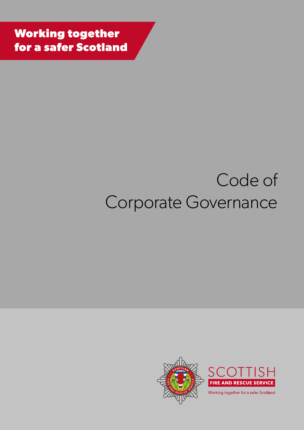**Working together for a safer Scotland**

# Code of Corporate Governance

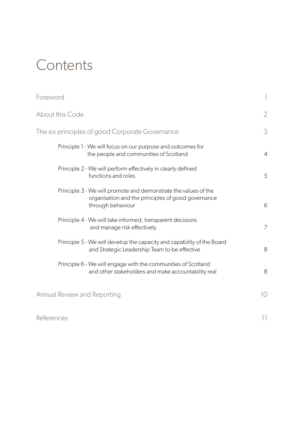## **Contents**

| Foreword                                                                                                                                   | $\mathbb{I}$    |
|--------------------------------------------------------------------------------------------------------------------------------------------|-----------------|
| About this Code                                                                                                                            | $\overline{2}$  |
| The six principles of good Corporate Governance                                                                                            | 3               |
| Principle 1 - We will focus on our purpose and outcomes for<br>the people and communities of Scotland                                      | $\overline{4}$  |
| Principle 2 - We will perform effectively in clearly defined<br>functions and roles                                                        | 5               |
| Principle 3 - We will promote and demonstrate the values of the<br>organisation and the principles of good governance<br>through behaviour | 6               |
| Principle 4 - We will take informed, transparent decisions<br>and manage risk effectively                                                  | 7               |
| Principle 5 - We will develop the capacity and capability of the Board<br>and Strategic Leadership Team to be effective                    | 8               |
| Principle 6 - We will engage with the communities of Scotland<br>and other stakeholders and make accountability real                       | 8               |
| Annual Review and Reporting                                                                                                                | 10 <sup>°</sup> |
| References                                                                                                                                 | 11              |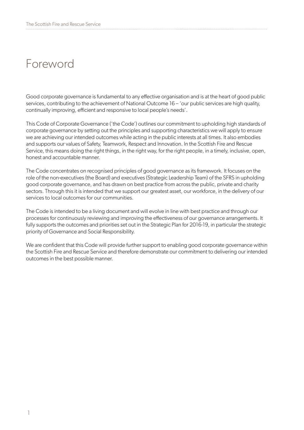## Foreword

Good corporate governance is fundamental to any effective organisation and is at the heart of good public services, contributing to the achievement of National Outcome 16 – 'our public services are high quality, continually improving, efficient and responsive to local people's needs'.

This Code of Corporate Governance ('the Code') outlines our commitment to upholding high standards of corporate governance by setting out the principles and supporting characteristics we will apply to ensure we are achieving our intended outcomes while acting in the public interests at all times. It also embodies and supports our values of Safety, Teamwork, Respect and Innovation. In the Scottish Fire and Rescue Service, this means doing the right things, in the right way, for the right people, in a timely, inclusive, open, honest and accountable manner.

The Code concentrates on recognised principles of good governance as its framework. It focuses on the role of the non-executives (the Board) and executives (Strategic Leadership Team) of the SFRS in upholding good corporate governance, and has drawn on best practice from across the public, private and charity sectors. Through this it is intended that we support our greatest asset, our workforce, in the delivery of our services to local outcomes for our communities.

The Code is intended to be a living document and will evolve in line with best practice and through our processes for continuously reviewing and improving the effectiveness of our governance arrangements. It fully supports the outcomes and priorities set out in the Strategic Plan for 2016-19, in particular the strategic priority of Governance and Social Responsibility.

We are confident that this Code will provide further support to enabling good corporate governance within the Scottish Fire and Rescue Service and therefore demonstrate our commitment to delivering our intended outcomes in the best possible manner.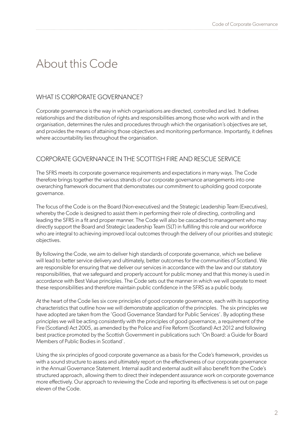## About this Code

#### WHAT IS CORPORATE GOVERNANCE?

Corporate governance is the way in which organisations are directed, controlled and led. It defines relationships and the distribution of rights and responsibilities among those who work with and in the organisation, determines the rules and procedures through which the organisation's objectives are set, and provides the means of attaining those objectives and monitoring performance. Importantly, it defines where accountability lies throughout the organisation.

#### CORPORATE GOVERNANCE IN THE SCOTTISH FIRE AND RESCUE SERVICE

The SFRS meets its corporate governance requirements and expectations in many ways. The Code therefore brings together the various strands of our corporate governance arrangements into one overarching framework document that demonstrates our commitment to upholding good corporate governance.

The focus of the Code is on the Board (Non-executives) and the Strategic Leadership Team (Executives), whereby the Code is designed to assist them in performing their role of directing, controlling and leading the SFRS in a fit and proper manner. The Code will also be cascaded to management who may directly support the Board and Strategic Leadership Team (SLT) in fulfilling this role and our workforce who are integral to achieving improved local outcomes through the delivery of our priorities and strategic objectives.

By following the Code, we aim to deliver high standards of corporate governance, which we believe will lead to better service delivery and ultimately, better outcomes for the communities of Scotland. We are responsible for ensuring that we deliver our services in accordance with the law and our statutory responsibilities, that we safeguard and properly account for public money and that this money is used in accordance with Best Value principles. The Code sets out the manner in which we will operate to meet these responsibilities and therefore maintain public confidence in the SFRS as a public body.

At the heart of the Code lies six core principles of good corporate governance, each with its supporting characteristics that outline how we will demonstrate application of the principles. The six principles we have adopted are taken from the 'Good Governance Standard for Public Services'. By adopting these principles we will be acting consistently with the principles of good governance, a requirement of the Fire (Scotland) Act 2005, as amended by the Police and Fire Reform (Scotland) Act 2012 and following best practice promoted by the Scottish Government in publications such 'On Board: a Guide for Board Members of Public Bodies in Scotland'.

Using the six principles of good corporate governance as a basis for the Code's framework, provides us with a sound structure to assess and ultimately report on the effectiveness of our corporate governance in the Annual Governance Statement. Internal audit and external audit will also benefit from the Code's structured approach, allowing them to direct their independent assurance work on corporate governance more effectively. Our approach to reviewing the Code and reporting its effectiveness is set out on page eleven of the Code.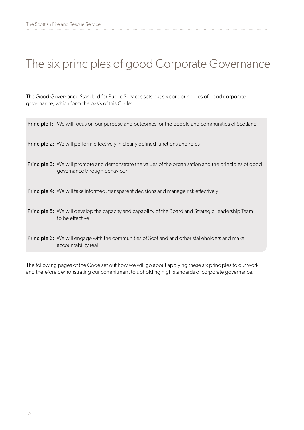## The six principles of good Corporate Governance

The Good Governance Standard for Public Services sets out six core principles of good corporate governance, which form the basis of this Code:

| <b>Principle 1:</b> We will focus on our purpose and outcomes for the people and communities of Scotland                                      |
|-----------------------------------------------------------------------------------------------------------------------------------------------|
| <b>Principle 2:</b> We will perform effectively in clearly defined functions and roles                                                        |
| <b>Principle 3:</b> We will promote and demonstrate the values of the organisation and the principles of good<br>governance through behaviour |
| Principle 4: We will take informed, transparent decisions and manage risk effectively                                                         |
| <b>Principle 5:</b> We will develop the capacity and capability of the Board and Strategic Leadership Team<br>to be effective                 |
| <b>Principle 6:</b> We will engage with the communities of Scotland and other stakeholders and make<br>accountability real                    |

The following pages of the Code set out how we will go about applying these six principles to our work and therefore demonstrating our commitment to upholding high standards of corporate governance.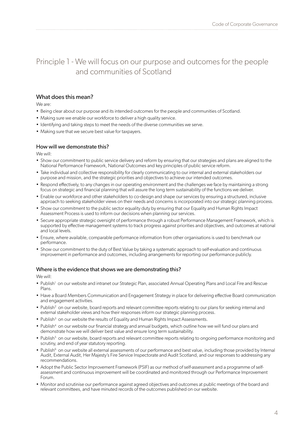### Principle 1 - We will focus on our purpose and outcomes for the people and communities of Scotland

#### What does this mean?

We are:

- Being clear about our purpose and its intended outcomes for the people and communities of Scotland.
- Making sure we enable our workforce to deliver a high quality service.
- Identifying and taking steps to meet the needs of the diverse communities we serve.
- Making sure that we secure best value for taxpayers.

#### How will we demonstrate this?

We will:

- Show our commitment to public service delivery and reform by ensuring that our strategies and plans are aligned to the National Performance Framework, National Outcomes and key principles of public service reform.
- Take individual and collective responsibility for clearly communicating to our internal and external stakeholders our purpose and mission, and the strategic priorities and objectives to achieve our intended outcomes.
- Respond effectively, to any changes in our operating environment and the challenges we face by maintaining a strong focus on strategic and financial planning that will assure the long term sustainability of the functions we deliver.
- Enable our workforce and other stakeholders to co-design and shape our services by ensuring a structured, inclusive approach to seeking stakeholder views on their needs and concerns is incorporated into our strategic planning process.
- Show our commitment to the public sector equality duty by ensuring that our Equality and Human Rights Impact Assessment Process is used to inform our decisions when planning our services.
- Secure appropriate strategic oversight of performance through a robust Performance Management Framework, which is supported by effective management systems to track progress against priorities and objectives, and outcomes at national and local levels.
- Ensure, where available, comparable performance information from other organisations is used to benchmark our performance.
- Show our commitment to the duty of Best Value by taking a systematic approach to self-evaluation and continuous improvement in performance and outcomes, including arrangements for reporting our performance publicly.

#### Where is the evidence that shows we are demonstrating this?

- Publish<sup>1</sup> on our website and intranet our Strategic Plan, associated Annual Operating Plans and Local Fire and Rescue Plans.
- Have a Board Members Communication and Engagement Strategy in place for delivering effective Board communication and engagement activities.
- Publish<sup>2</sup> on our website, board reports and relevant committee reports relating to our plans for seeking internal and external stakeholder views and how their responses inform our strategic planning process.
- Publish<sup>3</sup> on our website the results of Equality and Human Rights Impact Assessments.
- Publish<sup>4</sup> on our website our financial strategy and annual budgets, which outline how we will fund our plans and demonstrate how we will deliver best value and ensure long term sustainability.
- Publish<sup>5</sup> on our website, board reports and relevant committee reports relating to ongoing performance monitoring and scrutiny, and end of year statutory reporting.
- Publish<sup>6</sup> on our website all external assessments of our performance and best value, including those provided by Internal Audit, External Audit, Her Majesty's Fire Service Inspectorate and Audit Scotland, and our responses to addressing any recommendations.
- Adopt the Public Sector Improvement Framework (PSIF) as our method of self-assessment and a programme of selfassessment and continuous improvement will be coordinated and monitored through our Performance Improvement Forum.
- Monitor and scrutinise our performance against agreed objectives and outcomes at public meetings of the board and relevant committees, and have minuted records of the outcomes published on our website.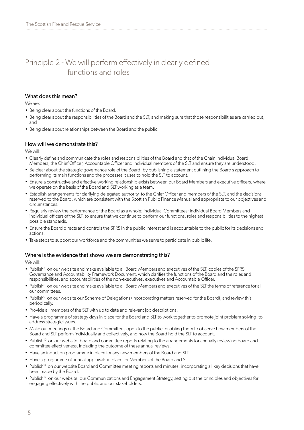### Principle 2 - We will perform effectively in clearly defined functions and roles

#### What does this mean?

We are:

- Being clear about the functions of the Board.
- Being clear about the responsibilities of the Board and the SLT, and making sure that those responsibilities are carried out, and
- Being clear about relationships between the Board and the public.

#### How will we demonstrate this?

We will:

- Clearly define and communicate the roles and responsibilities of the Board and that of the Chair, individual Board Members, the Chief Officer, Accountable Officer and individual members of the SLT and ensure they are understood.
- Be clear about the strategic governance role of the Board, by publishing a statement outlining the Board's approach to performing its main functions and the processes it uses to hold the SLT to account.
- Ensure a constructive and effective working relationship exists between our Board Members and executive officers, where we operate on the basis of the Board and SLT working as a team.
- Establish arrangements for clarifying delegated authority to the Chief Officer and members of the SLT, and the decisions reserved to the Board, which are consistent with the Scottish Public Finance Manual and appropriate to our objectives and circumstances.
- Regularly review the performance of the Board as a whole; individual Committees; individual Board Members and individual officers of the SLT, to ensure that we continue to perform our functions, roles and responsibilities to the highest possible standards.
- Ensure the Board directs and controls the SFRS in the public interest and is accountable to the public for its decisions and actions.
- Take steps to support our workforce and the communities we serve to participate in public life.

#### Where is the evidence that shows we are demonstrating this?

- Publish<sup>7</sup> on our website and make available to all Board Members and executives of the SLT, copies of the SFRS Governance and Accountability Framework Document, which clarifies the functions of the Board and the roles and responsibilities, and accountabilities of the non-executives, executives and Accountable Officer.
- Publish<sup>8</sup> on our website and make available to all Board Members and executives of the SLT the terms of reference for all our committees.
- Publish<sup>9</sup> on our website our Scheme of Delegations (incorporating matters reserved for the Board), and review this periodically.
- Provide all members of the SLT with up to date and relevant job descriptions.
- Have a programme of strategy days in place for the Board and SLT to work together to promote joint problem solving, to address strategic issues.
- Make our meetings of the Board and Committees open to the public, enabling them to observe how members of the Board and SLT perform individually and collectively, and how the Board hold the SLT to account.
- Publish<sup>10</sup> on our website, board and committee reports relating to the arrangements for annually reviewing board and committee effectiveness, including the outcome of these annual reviews.
- Have an induction programme in place for any new members of the Board and SLT.
- Have a programme of annual appraisals in place for Members of the Board and SLT.
- Publish<sup>11</sup> on our website Board and Committee meeting reports and minutes, incorporating all key decisions that have been made by the Board.
- Publish<sup>12</sup> on our website, our Communications and Engagement Strategy, setting out the principles and objectives for engaging effectively with the public and our stakeholders.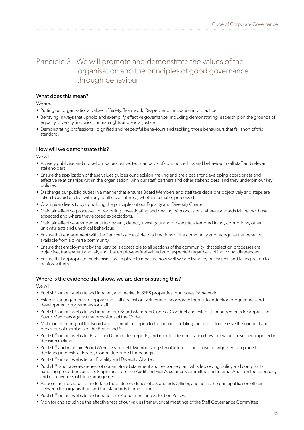### Principle 3 - We will promote and demonstrate the values of the organisation and the principles of good governance through behaviour

#### What does this mean?

We are:

- Putting our organisational values of Safety, Teamwork, Respect and Innovation into practice.
- Behaving in ways that uphold and exemplify effective governance, including demonstrating leadership on the grounds of equality, diversity, inclusion, human rights and social justice.
- Demonstrating professional, dignified and respectful behaviours and tackling those behaviours that fall short of this standard.

#### How will we demonstrate this?

We will:

- Actively publicise and model our values, expected standards of conduct, ethics and behaviour to all staff and relevant stakeholders.
- Ensure the application of these values guides our decision-making and are a basis for developing appropriate and effective relationships within the organisation, with our staff, partners and other stakeholders; and they underpin our key policies.
- Discharge our public duties in a manner that ensures Board Members and staff take decisions objectively and steps are taken to avoid or deal with any conflicts of interest, whether actual or perceived.
- Champion diversity by upholding the principles of our Equality and Diversity Charter.
- Maintain effective processes for reporting, investigating and dealing with occasions where standards fall below those expected and where they exceed expectations.
- Maintain effective arrangements to prevent, detect, investigate and prosecute attempted fraud, corruptions, other unlawful acts and unethical behaviour.
- Ensure that engagement with the Service is accessible to all sections of the community and recognise the benefits available from a diverse community.
- Ensure that employment by the Service is accessible to all sections of the community; that selection processes are objective, transparent and fair, and that employees feel valued and respected regardless of individual differences.
- Ensure that appropriate mechanisms are in place to measure how well we are living by our values, and taking action to reinforce them.

#### Where is the evidence that shows we are demonstrating this?

- Publish<sup>13</sup> on our website and intranet, and market in SFRS properties, our values framework.
- Establish arrangements for appraising staff against our values and incorporate them into induction programmes and development programmes for staff.
- Publish<sup>14</sup> on our website and intranet our Board Members Code of Conduct and establish arrangements for appraising Board Members against the provisions of the Code.
- Make our meetings of the Board and Committees open to the public, enabling the public to observe the conduct and behaviour of members of the Board and SLT.
- Publish<sup>15</sup> on our website, Board and Committee reports, and minutes demonstrating how our values have been applied in decision making.
- Publish<sup>16</sup> and maintain Board Members and SLT Members register of interests, and have arrangements in place for declaring interests at Board, Committee and SLT meetings.
- Publish<sup>17</sup> on our website our Equality and Diversity Charter.
- Publish<sup>18</sup> and raise awareness of our anti-fraud statement and response plan, whistleblowing policy and complaints handling procedure, and seek opinions from the Audit and Risk Assurance Committee and Internal Audit on the adequacy and effectiveness of these arrangements.
- Appoint an individual to undertake the statutory duties of a Standards Officer, and act as the principal liaison officer between the organisation and the Standards Commission.
- Publish<sup>19</sup> on our website and intranet our Recruitment and Selection Policy.
- Monitor and scrutinise the effectiveness of our values framework at meetings of the Staff Governance Committee.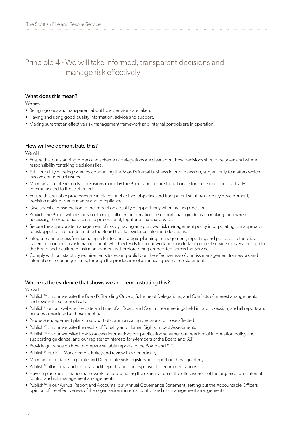### Principle 4 - We will take informed, transparent decisions and manage risk effectively

#### What does this mean?

We are:

- Being rigorous and transparent about how decisions are taken.
- Having and using good quality information, advice and support.
- Making sure that an effective risk management framework and internal controls are in operation.

#### How will we demonstrate this?

We will:

- Ensure that our standing orders and scheme of delegations are clear about how decisions should be taken and where responsibility for taking decisions lies.
- Fulfil our duty of being open by conducting the Board's formal business in public session, subject only to matters which involve confidential issues.
- Maintain accurate records of decisions made by the Board and ensure the rationale for these decisions is clearly communicated to those affected.
- Ensure that suitable processes are in place for effective, objective and transparent scrutiny of policy development, decision making, performance and compliance.
- Give specific consideration to the impact on equality of opportunity when making decisions.
- Provide the Board with reports containing sufficient information to support strategic decision making, and when necessary, the Board has access to professional, legal and financial advice.
- Secure the appropriate management of risk by having an approved risk management policy incorporating our approach to risk appetite in place to enable the Board to take evidence informed decisions.
- Integrate our process for managing risk into our strategic planning, management, reporting and policies, so there is a system for continuous risk management, which extends from our workforce undertaking direct service delivery through to the Board and a culture of risk management is therefore being embedded across the Service.
- Comply with our statutory requirements to report publicly on the effectiveness of our risk management framework and internal control arrangements, through the production of an annual governance statement.

#### Where is the evidence that shows we are demonstrating this?

- Publish<sup>20</sup> on our website the Board's Standing Orders, Scheme of Delegations, and Conflicts of Interest arrangements, and review these periodically.
- Publish<sup>21</sup> on our website the date and time of all Board and Committee meetings held in public session, and all reports and minutes considered at these meetings.
- Produce engagement plans in support of communicating decisions to those affected.
- Publish<sup>22</sup> on our website the results of Equality and Human Rights Impact Assessments.
- Publish<sup>23</sup> on our website: how to access information; our publication scheme; our freedom of information policy and supporting guidance, and our register of interests for Members of the Board and SLT.
- Provide guidance on how to prepare suitable reports to the Board and SLT.
- Publish<sup>24</sup> our Risk Management Policy and review this periodically.
- Maintain up to date Corporate and Directorate Risk registers and report on these quarterly.
- Publish<sup>25</sup> all internal and external audit reports and our responses to recommendations.
- Have in place an assurance framework for coordinating the examination of the effectiveness of the organisation's internal control and risk management arrangements.
- Publish<sup>26</sup> in our Annual Report and Accounts, our Annual Governance Statement, setting out the Accountable Officers opinion of the effectiveness of the organisation's internal control and risk management arrangements.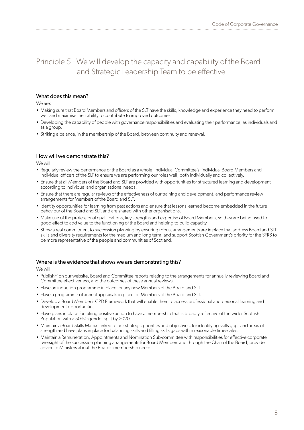### Principle 5 - We will develop the capacity and capability of the Board and Strategic Leadership Team to be effective

#### What does this mean?

We are:

- Making sure that Board Members and officers of the SLT have the skills, knowledge and experience they need to perform well and maximise their ability to contribute to improved outcomes.
- Developing the capability of people with governance responsibilities and evaluating their performance, as individuals and as a group.
- Striking a balance, in the membership of the Board, between continuity and renewal.

#### How will we demonstrate this?

We will:

- Regularly review the performance of the Board as a whole, individual Committee's, individual Board Members and individual officers of the SLT to ensure we are performing our roles well, both individually and collectively.
- Ensure that all Members of the Board and SLT are provided with opportunities for structured learning and development according to individual and organisational needs.
- Ensure that there are regular reviews of the effectiveness of our training and development, and performance review arrangements for Members of the Board and SLT.
- Identity opportunities for learning from past actions and ensure that lessons learned become embedded in the future behaviour of the Board and SLT, and are shared with other organisations.
- Make use of the professional qualifications, key strengths and expertise of Board Members, so they are being used to good effect to add value to the functioning of the Board and helping to build capacity.
- Show a real commitment to succession planning by ensuring robust arrangements are in place that address Board and SLT skills and diversity requirements for the medium and long term, and support Scottish Government's priority for the SFRS to be more representative of the people and communities of Scotland.

#### Where is the evidence that shows we are demonstrating this?

- Publish<sup>27</sup> on our website, Board and Committee reports relating to the arrangements for annually reviewing Board and Committee effectiveness, and the outcomes of these annual reviews.
- Have an induction programme in place for any new Members of the Board and SLT.
- Have a programme of annual appraisals in place for Members of the Board and SLT.
- Develop a Board Member's CPD Framework that will enable them to access professional and personal learning and development opportunities.
- Have plans in place for taking positive action to have a membership that is broadly reflective of the wider Scottish Population with a 50:50 gender split by 2020.
- Maintain a Board Skills Matrix, linked to our strategic priorities and objectives, for identifying skills gaps and areas of strength and have plans in place for balancing skills and filling skills gaps within reasonable timescales.
- Maintain a Remuneration, Appointments and Nomination Sub-committee with responsibilities for effective corporate oversight of the succession planning arrangements for Board Members and through the Chair of the Board, provide advice to Ministers about the Board's membership needs.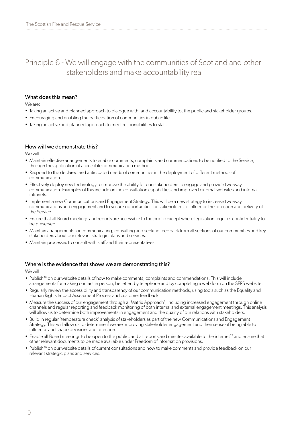### Principle 6 - We will engage with the communities of Scotland and other stakeholders and make accountability real

#### What does this mean?

We are:

- Taking an active and planned approach to dialogue with, and accountability to, the public and stakeholder groups.
- Encouraging and enabling the participation of communities in public life.
- Taking an active and planned approach to meet responsibilities to staff.

#### How will we demonstrate this?

We will:

- Maintain effective arrangements to enable comments, complaints and commendations to be notified to the Service, through the application of accessible communication methods.
- Respond to the declared and anticipated needs of communities in the deployment of different methods of communication.
- Effectively deploy new technology to improve the ability for our stakeholders to engage and provide two-way communication. Examples of this include online consultation capabilities and improved external websites and internal **intranets.**
- Implement a new Communications and Engagement Strategy. This will be a new strategy to increase two-way communications and engagement and to secure opportunities for stakeholders to influence the direction and delivery of the Service.
- Ensure that all Board meetings and reports are accessible to the public except where legislation requires confidentiality to be preserved.
- Maintain arrangements for communicating, consulting and seeking feedback from all sections of our communities and key stakeholders about our relevant strategic plans and services.
- Maintain processes to consult with staff and their representatives.

#### Where is the evidence that shows we are demonstrating this?

- Publish<sup>28</sup> on our website details of how to make comments, complaints and commendations. This will include arrangements for making contact in person; be letter; by telephone and by completing a web form on the SFRS website.
- Regularly review the accessibility and transparency of our communication methods, using tools such as the Equality and Human Rights Impact Assessment Process and customer feedback.
- Measure the success of our engagement through a 'Matrix Approach', including increased engagement through online channels and regular reporting and feedback monitoring of both internal and external engagement meetings. This analysis will allow us to determine both improvements in engagement and the quality of our relations with stakeholders.
- Build in regular 'temperature check' analysis of stakeholders as part of the new Communications and Engagement Strategy. This will allow us to determine if we are improving stakeholder engagement and their sense of being able to influence and shape decisions and direction.
- Enable all Board meetings to be open to the public, and all reports and minutes available to the internet<sup>29</sup> and ensure that other relevant documents to be made available under Freedom of Information provisions.
- Publish<sup>30</sup> on our website details of current consultations and how to make comments and provide feedback on our relevant strategic plans and services.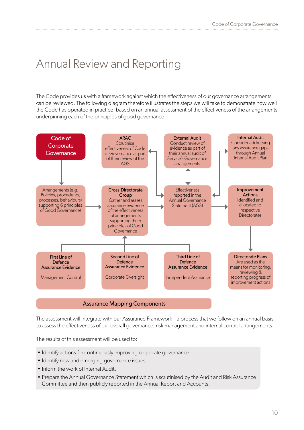## Annual Review and Reporting

The Code provides us with a framework against which the effectiveness of our governance arrangements can be reviewed. The following diagram therefore illustrates the steps we will take to demonstrate how well the Code has operated in practice, based on an annual assessment of the effectiveness of the arrangements underpinning each of the principles of good governance.



#### Assurance Mapping Components

The assessment will integrate with our Assurance Framework – a process that we follow on an annual basis to assess the effectiveness of our overall governance, risk management and internal control arrangements.

The results of this assessment will be used to:

- Identify actions for continuously improving corporate governance.
- Identify new and emerging governance issues.
- Inform the work of Internal Audit.
- Prepare the Annual Governance Statement which is scrutinised by the Audit and Risk Assurance Committee and then publicly reported in the Annual Report and Accounts.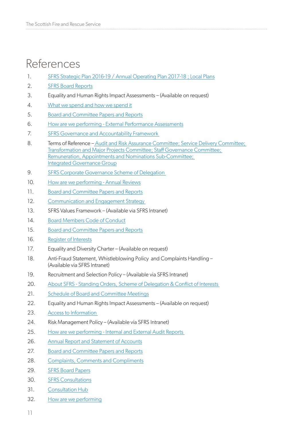## References

- 1. [SFRS Strategic Plan 2016-19](https://www.firescotland.gov.uk/media/1005163/scottish_fire_and_rescue_service_strategic_plan_2016_19.pdf) / [Annual Operating Plan 2017-18](https://www.firescotland.gov.uk/media/1257772/annual_operating_plan_2017_18.pdf) ; [Local Plans](https://www.firescotland.gov.uk/about-us/local-plans.aspx)
- 2. [SFRS Board Reports](https://www.firescotland.gov.uk/about-us/sfrs-board.aspx)
- 3. Equality and Human Rights Impact Assessments (Available on request)
- 4. [What we spend and how we spend it](https://www.firescotland.gov.uk/access-to-information/publication-scheme/what-we-spend-and-how-we-spend-it.aspx)
- 5. [Board and Committee Papers and Reports](https://www.firescotland.gov.uk/about-us/sfrs-board.aspx)
- 6. [How are we performing External Performance Assessments](https://www.firescotland.gov.uk/access-to-information/publication-scheme/how-are-we-performing.aspx)
- 7. [SFRS Governance and Accountability Framework](https://www.firescotland.gov.uk/media/630689/140626_item_15_governance_and_accountability_framework.pdf)
- 8. Terms of Reference – [Audit and Risk Assurance Committee](https://www.firescotland.gov.uk/about-us/sfrs-board/audit-and-risk-assurance-committee.aspx); [Service Delivery Committee;](https://www.firescotland.gov.uk/about-us/sfrs-board/service-delivery-committee.aspx) [Transformation and Major Projects Committee](https://www.firescotland.gov.uk/about-us/sfrs-board/transformation-and-major-projects-committee.aspx); [Staff Governance Committee](https://www.firescotland.gov.uk/about-us/sfrs-board/staff-governance-committee.aspx); [Remuneration, Appointments and Nominations Sub-Committee](https://www.firescotland.gov.uk/about-us/sfrs-board/staff-governance-committee/-ran-sub-committee.aspx); [Integrated Governance Group](https://www.firescotland.gov.uk/about-us/sfrs-board/integrated-governance-committee-(igc).aspx)
- 9. [SFRS Corporate Governance Scheme of Delegation](https://www.firescotland.gov.uk/media/437108/schemedelegationsv4.pdf)
- 10. [How are we performing Annual Reviews](https://www.firescotland.gov.uk/access-to-information/publication-scheme/how-are-we-performing.aspx)
- 11. [Board and Committee Papers and Reports](https://www.firescotland.gov.uk/about-us/sfrs-board.aspx)
- 12. [Communication and Engagement Strategy](https://www.firescotland.gov.uk/media/652229/sfrs_comms_and_engagement_strategy_v1_0.pdf)
- 13. SFRS Values Framework (Available via SFRS Intranet)
- 14. [Board Members Code of Conduct](https://www.firescotland.gov.uk/media/426941/memberscodeconduct_v5.pdf)
- 15. [Board and Committee Papers and Reports](https://www.firescotland.gov.uk/about-us/sfrs-board.aspx)
- 16. [Register of Interests](https://www.firescotland.gov.uk/about-us/sfrs-board/board-members.aspx)
- 17. Equality and Diversity Charter (Available on request)
- 18. Anti-Fraud Statement, Whistleblowing Policy and Complaints Handling (Available via SFRS Intranet)
- 19. Recruitment and Selection Policy (Available via SFRS Intranet)
- 20. About SFRS Standing Orders, Scheme of Delegation & Conflict of Interests
- 21. [Schedule of Board and Committee Meetings](https://www.firescotland.gov.uk/about-us/sfrs-board.aspx)
- 22. Equality and Human Rights Impact Assessments (Available on request)
- 23. [Access to Information](https://www.firescotland.gov.uk/access-to-information.aspx)
- 24. Risk Management Policy (Available via SFRS Intranet)
- 25. [How are we performing Internal and External Audit Reports](https://www.firescotland.gov.uk/access-to-information/publication-scheme/how-are-we-performing.aspx)
- 26. [Annual Report and Statement of Accounts](https://www.firescotland.gov.uk/access-to-information/publication-scheme/what-we-spend-and-how-we-spend-it.aspx)
- 27. [Board and Committee Papers and Reports](https://www.firescotland.gov.uk/about-us/sfrs-board.aspx)
- 28. [Complaints, Comments and Compliments](https://www.firescotland.gov.uk/access-to-information/complaints,-comments-and-compliments.aspx)
- 29. [SFRS Board Papers](https://www.firescotland.gov.uk/about-us/sfrs-board/board-meetings.aspx)
- 30. [SFRS Consultations](https://www.firescotland.gov.uk/consultations.aspx)
- 31. [Consultation Hub](https://firescotland.citizenspace.com)
- 32. [How are we performing](https://www.firescotland.gov.uk/access-to-information/publication-scheme/how-are-we-performing.aspx)